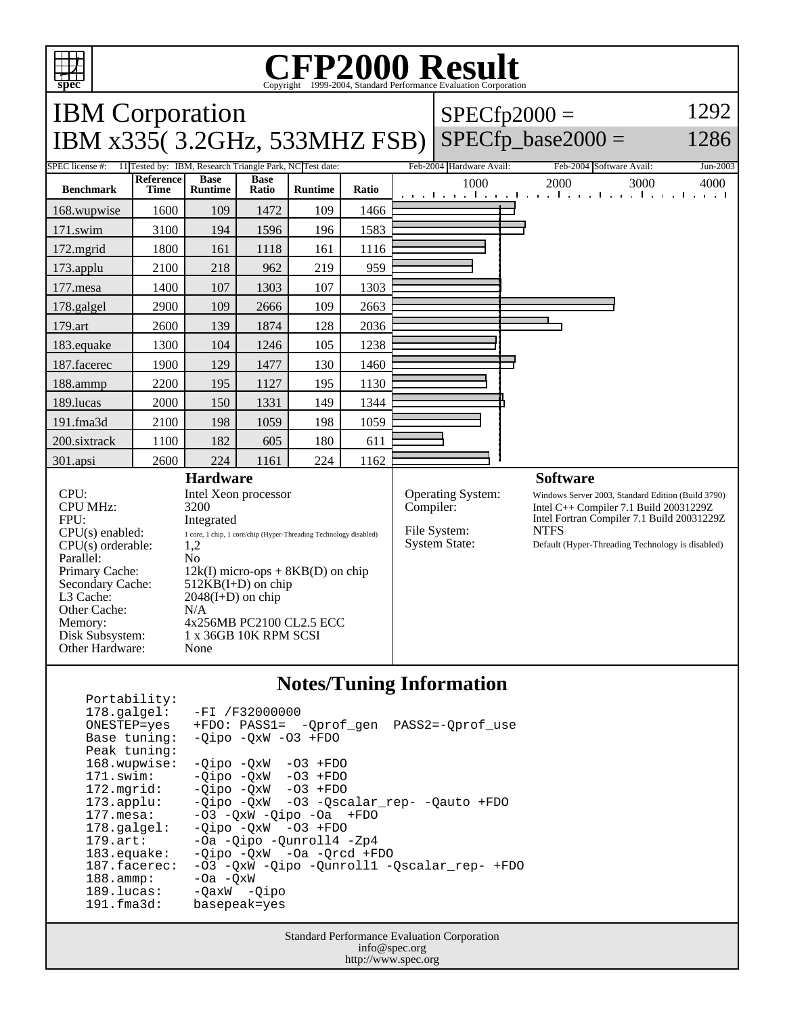

**Notes/Tuning Information**

| $178.\text{qalgel}$ : | $-FI / F32000000$                           |
|-----------------------|---------------------------------------------|
| ONESTEP=yes           | +FDO: PASS1= -Qprof_gen<br>PASS2=-Oprof use |
| Base tuning:          | $-Oipo -OXW -O3 + FDO$                      |
| Peak tuning:          |                                             |
| 168.wupwise:          | -Oipo -OxW<br>$-03$ +FDO                    |
| 171.swim:             | $-Oipo$ $-OxW$ $-O3$ $+FDO$                 |
| 172.mgrid:            | $-Oipo$ $-OxW$ $-O3$ $+FDO$                 |
| $173.\text{applu}:$   | -Oipo -OxW -O3 -Oscalar rep- -Qauto +FDO    |
| $177.\text{mesa}$ :   | $-03$ $-0xW$ $-0ipo$ $-0a$ $+FDO$           |
| $178.\text{qalgel}$ : | $-Oipo$ $-OxW$ $-O3$ $+FDO$                 |
| $179.\text{art}$ :    | -Oa -Oipo -Ounroll4 -Zp4                    |
| $183$ .equake:        | -Oipo -OxW -Oa -Orcd +FDO                   |
| 187.facerec:          | -03 -QxW -Qipo -Qunroll1 -Qscalar_rep- +FDO |
| $188.\text{amp}:$     | $-0a$ $-0xW$                                |
| 189.lucas:            | $-QaxW -Qipo$                               |
| 191.fma3d:            | basepeak=yes                                |

Portability:

Standard Performance Evaluation Corporation info@spec.org http://www.spec.org